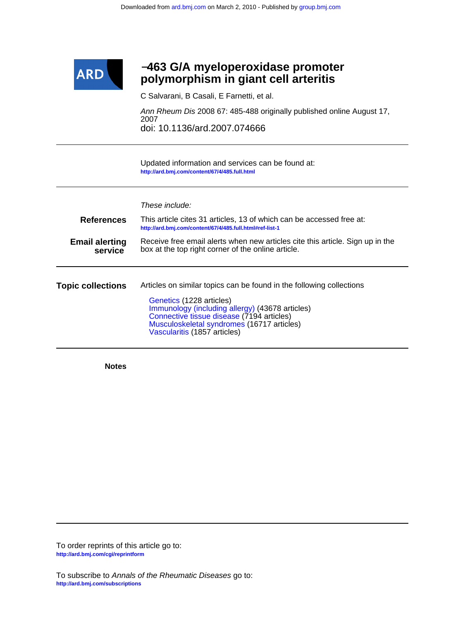

# **polymorphism in giant cell arteritis** −**463 G/A myeloperoxidase promoter**

C Salvarani, B Casali, E Farnetti, et al.

doi: 10.1136/ard.2007.074666 2007 Ann Rheum Dis 2008 67: 485-488 originally published online August 17,

**<http://ard.bmj.com/content/67/4/485.full.html>** Updated information and services can be found at:

|                                  | These include:                                                                                                                                                                                                                                                                 |  |  |  |  |  |
|----------------------------------|--------------------------------------------------------------------------------------------------------------------------------------------------------------------------------------------------------------------------------------------------------------------------------|--|--|--|--|--|
| <b>References</b>                | This article cites 31 articles, 13 of which can be accessed free at:<br>http://ard.bmj.com/content/67/4/485.full.html#ref-list-1                                                                                                                                               |  |  |  |  |  |
| <b>Email alerting</b><br>service | Receive free email alerts when new articles cite this article. Sign up in the<br>box at the top right corner of the online article.                                                                                                                                            |  |  |  |  |  |
| <b>Topic collections</b>         | Articles on similar topics can be found in the following collections<br>Genetics (1228 articles)<br>Immunology (including allergy) (43678 articles)<br>Connective tissue disease (7194 articles)<br>Musculoskeletal syndromes (16717 articles)<br>Vascularitis (1857 articles) |  |  |  |  |  |

**Notes**

**<http://ard.bmj.com/cgi/reprintform>** To order reprints of this article go to: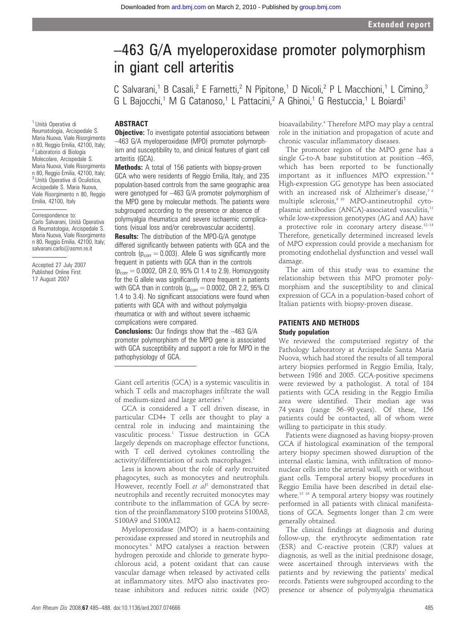# –463 G/A myeloperoxidase promoter polymorphism in giant cell arteritis

C Salvarani,<sup>1</sup> B Casali,<sup>2</sup> E Farnetti,<sup>2</sup> N Pipitone,<sup>1</sup> D Nicoli,<sup>2</sup> P L Macchioni,<sup>1</sup> L Cimino,<sup>3</sup> G L Bajocchi,<sup>1</sup> M G Catanoso,<sup>1</sup> L Pattacini,<sup>2</sup> A Ghinoi,<sup>1</sup> G Restuccia,<sup>1</sup> L Boiardi<sup>1</sup>

# ABSTRACT

**Objective:** To investigate potential associations between –463 G/A myeloperoxidase (MPO) promoter polymorphism and susceptibility to, and clinical features of giant cell arteritis (GCA).

Methods: A total of 156 patients with biopsy-proven GCA who were residents of Reggio Emilia, Italy, and 235 population-based controls from the same geographic area were genotyped for –463 G/A promoter polymorphism of the MPO gene by molecular methods. The patients were subgrouped according to the presence or absence of polymyalgia rheumatica and severe ischaemic complications (visual loss and/or cerebrovascular accidents).

**Results:** The distribution of the MPO-G/A genotype differed significantly between patients with GCA and the controls ( $p_{corr} = 0.003$ ). Allele G was significantly more frequent in patients with GCA than in the controls  $(p_{corr} = 0.0002, \text{ OR } 2.0, \text{ 95\% CI } 1.4 \text{ to } 2.9)$ . Homozygosity for the G allele was significantly more frequent in patients with GCA than in controls ( $p_{corr} = 0.0002$ , OR 2.2, 95% CI 1.4 to 3.4). No significant associations were found when patients with GCA with and without polymyalgia rheumatica or with and without severe ischaemic complications were compared.

**Conclusions:** Our findings show that the  $-463$  G/A promoter polymorphism of the MPO gene is associated with GCA susceptibility and support a role for MPO in the pathophysiology of GCA.

Giant cell arteritis (GCA) is a systemic vasculitis in which T cells and macrophages infiltrate the wall of medium-sized and large arteries.<sup>1</sup>

GCA is considered a T cell driven disease, in particular CD4+ T cells are thought to play a central role in inducing and maintaining the vasculitic process.<sup>1</sup> Tissue destruction in GCA largely depends on macrophage effector functions, with T cell derived cytokines controlling the activity/differentiation of such macrophages.<sup>1</sup>

Less is known about the role of early recruited phagocytes, such as monocytes and neutrophils. However, recently Foell et  $al^2$  demonstrated that neutrophils and recently recruited monocytes may contribute to the inflammation of GCA by secretion of the proinflammatory S100 proteins S100A8, S100A9 and S100A12.

Myeloperoxidase (MPO) is a haem-containing peroxidase expressed and stored in neutrophils and monocytes.3 MPO catalyses a reaction between hydrogen peroxide and chloride to generate hypochlorous acid, a potent oxidant that can cause vascular damage when released by activated cells at inflammatory sites. MPO also inactivates protease inhibitors and reduces nitric oxide (NO)

bioavailability.4 Therefore MPO may play a central role in the initiation and propagation of acute and chronic vascular inflammatory diseases.

The promoter region of the MPO gene has a single G-to-A base substitution at position –463, which has been reported to be functionally important as it influences MPO expression.<sup>56</sup> High-expression GG genotype has been associated with an increased risk of Alzheimer's disease,<sup>78</sup> multiple sclerosis,<sup>9 10</sup> MPO-antineutrophil cytoplasmic antibodies (ANCA)-associated vasculitis,<sup>11</sup> while low-expression genotypes (AG and AA) have a protective role in coronary artery disease.<sup>12-14</sup> Therefore, genetically determined increased levels of MPO expression could provide a mechanism for promoting endothelial dysfunction and vessel wall damage.

The aim of this study was to examine the relationship between this MPO promoter polymorphism and the susceptibility to and clinical expression of GCA in a population-based cohort of Italian patients with biopsy-proven disease.

## PATIENTS AND METHODS Study population

We reviewed the computerised registry of the Pathology Laboratory at Arcispedale Santa Maria Nuova, which had stored the results of all temporal artery biopsies performed in Reggio Emilia, Italy, between 1986 and 2005. GCA-positive specimens were reviewed by a pathologist. A total of 184 patients with GCA residing in the Reggio Emilia area were identified. Their median age was 74 years (range 56–90 years). Of these, 156 patients could be contacted, all of whom were willing to participate in this study.

Patients were diagnosed as having biopsy-proven GCA if histological examination of the temporal artery biopsy specimen showed disruption of the internal elastic lamina, with infiltration of mononuclear cells into the arterial wall, with or without giant cells. Temporal artery biopsy procedures in Reggio Emilia have been described in detail elsewhere.<sup>15 16</sup> A temporal artery biopsy was routinely performed in all patients with clinical manifestations of GCA. Segments longer than 2 cm were generally obtained.

The clinical findings at diagnosis and during follow-up, the erythrocyte sedimentation rate (ESR) and C-reactive protein (CRP) values at diagnosis, as well as the initial prednisone dosage, were ascertained through interviews with the patients and by reviewing the patients' medical records. Patients were subgrouped according to the presence or absence of polymyalgia rheumatica

<sup>1</sup> Unità Operativa di Reumatologia, Arcispedale S. Maria Nuova, Viale Risorgimento n 80, Reggio Emilia, 42100, Italy; <sup>2</sup> Laboratorio di Biologia Molecolare, Arcispedale S. Maria Nuova, Viale Risorgimento n 80, Reggio Emilia, 42100, Italy; <sup>3</sup> Unità Operativa di Oculistica, Arcispedale S. Maria Nuova, Viale Risorgimento n 80, Reggio

# Emilia, 42100, Italy Correspondence to:

Carlo Salvarani, Unità Operativa di Reumatologia, Arcispedale S. Maria Nuova, Viale Risorgimento n 80, Reggio Emilia, 42100, Italy; salvarani.carlo@asmn.re.it

Accepted 27 July 2007 Published Online First 17 August 2007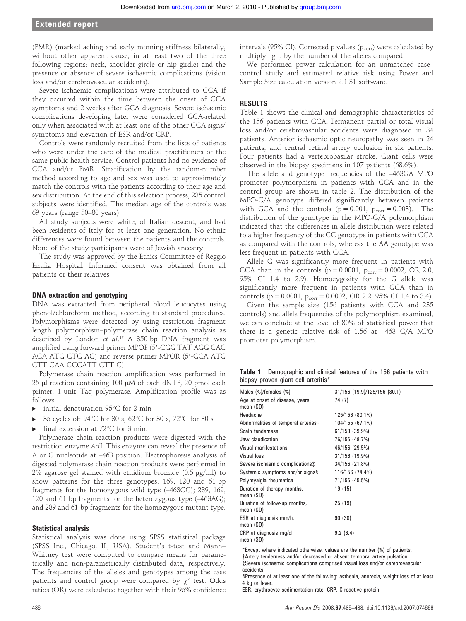# Extended report

(PMR) (marked aching and early morning stiffness bilaterally, without other apparent cause, in at least two of the three following regions: neck, shoulder girdle or hip girdle) and the presence or absence of severe ischaemic complications (vision loss and/or cerebrovascular accidents).

Severe ischaemic complications were attributed to GCA if they occurred within the time between the onset of GCA symptoms and 2 weeks after GCA diagnosis. Severe ischaemic complications developing later were considered GCA-related only when associated with at least one of the other GCA signs/ symptoms and elevation of ESR and/or CRP.

Controls were randomly recruited from the lists of patients who were under the care of the medical practitioners of the same public health service. Control patients had no evidence of GCA and/or PMR. Stratification by the random-number method according to age and sex was used to approximately match the controls with the patients according to their age and sex distribution. At the end of this selection process, 235 control subjects were identified. The median age of the controls was 69 years (range 50–80 years).

All study subjects were white, of Italian descent, and had been residents of Italy for at least one generation. No ethnic differences were found between the patients and the controls. None of the study participants were of Jewish ancestry.

The study was approved by the Ethics Committee of Reggio Emilia Hospital. Informed consent was obtained from all patients or their relatives.

#### DNA extraction and genotyping

DNA was extracted from peripheral blood leucocytes using phenol/chloroform method, according to standard procedures. Polymorphisms were detected by using restriction fragment length polymorphism–polymerase chain reaction analysis as described by London et al. <sup>17</sup> A 350 bp DNA fragment was amplified using forward primer MPOF (5'-CGG TAT AGG CAC ACA ATG GTG AG) and reverse primer MPOR (5'-GCA ATG GTT CAA GCGATT CTT C).

Polymerase chain reaction amplification was performed in  $25$  µl reaction containing 100 µM of each dNTP, 20 pmol each primer, 1 unit Taq polymerase. Amplification profile was as follows:

- initial denaturation  $95^{\circ}$ C for 2 min
- 35 cycles of: 94°C for 30 s, 62°C for 30 s, 72°C for 30 s
- final extension at  $72^{\circ}$ C for 3 min.

Polymerase chain reaction products were digested with the restriction enzyme AciI. This enzyme can reveal the presence of A or G nucleotide at –463 position. Electrophoresis analysis of digested polymerase chain reaction products were performed in 2% agarose gel stained with ethidium bromide  $(0.5 \text{ µg/ml})$  to show patterns for the three genotypes: 169, 120 and 61 bp fragments for the homozygous wild type (–463GG); 289, 169, 120 and 61 bp fragments for the heterozygous type (–463AG); and 289 and 61 bp fragments for the homozygous mutant type.

#### Statistical analysis

Statistical analysis was done using SPSS statistical package (SPSS Inc., Chicago, IL, USA). Student's t-test and Mann– Whitney test were computed to compare means for parametrically and non-parametrically distributed data, respectively. The frequencies of the alleles and genotypes among the case patients and control group were compared by  $\chi^2$  test. Odds ratios (OR) were calculated together with their 95% confidence

intervals (95% CI). Corrected p values  $(p_{corr})$  were calculated by multiplying p by the number of the alleles compared.

We performed power calculation for an unmatched case– control study and estimated relative risk using Power and Sample Size calculation version 2.1.31 software.

### RESULTS

Table 1 shows the clinical and demographic characteristics of the 156 patients with GCA. Permanent partial or total visual loss and/or cerebrovascular accidents were diagnosed in 34 patients. Anterior ischaemic optic neuropathy was seen in 24 patients, and central retinal artery occlusion in six patients. Four patients had a vertebrobasilar stroke. Giant cells were observed in the biopsy specimens in 107 patients (68.6%).

The allele and genotype frequencies of the –463GA MPO promoter polymorphism in patients with GCA and in the control group are shown in table 2. The distribution of the MPO-G/A genotype differed significantly between patients with GCA and the controls  $(p = 0.001, p_{corr} = 0.003)$ . The distribution of the genotype in the MPO-G/A polymorphism indicated that the differences in allele distribution were related to a higher frequency of the GG genotype in patients with GCA as compared with the controls, whereas the AA genotype was less frequent in patients with GCA.

Allele G was significantly more frequent in patients with GCA than in the controls ( $p = 0.0001$ ,  $p_{corr} = 0.0002$ , OR 2.0, 95% CI 1.4 to 2.9). Homozygosity for the G allele was significantly more frequent in patients with GCA than in controls ( $p = 0.0001$ ,  $p_{corr} = 0.0002$ , OR 2.2, 95% CI 1.4 to 3.4).

Given the sample size (156 patients with GCA and 235 controls) and allele frequencies of the polymorphism examined, we can conclude at the level of 80% of statistical power that there is a genetic relative risk of 1.56 at –463 G/A MPO promoter polymorphism.

Table 1 Demographic and clinical features of the 156 patients with biopsy proven giant cell arteritis\*

| Males (%)/females (%)                        | 31/156 (19.9)/125/156 (80.1) |
|----------------------------------------------|------------------------------|
| Age at onset of disease, years,<br>mean (SD) | 74 (7)                       |
| Headache                                     | 125/156 (80.1%)              |
| Abnormalities of temporal arteries†          | 104/155 (67.1%)              |
| Scalp tenderness                             | 61/153 (39.9%)               |
| Jaw claudication                             | 76/156 (48.7%)               |
| <b>Visual manifestations</b>                 | 46/156 (29.5%)               |
| <b>Visual loss</b>                           | 31/156 (19.9%)               |
| Severe ischaemic complications:              | 34/156 (21.8%)               |
| Systemic symptoms and/or signs§              | 116/156 (74.4%)              |
| Polymyalgia rheumatica                       | 71/156 (45.5%)               |
| Duration of therapy months,<br>mean (SD)     | 19 (15)                      |
| Duration of follow-up months,<br>mean (SD)   | 25(19)                       |
| ESR at diagnosis mm/h,<br>mean (SD)          | 90(30)                       |
| CRP at diagnosis mg/dl,<br>mean (SD)         | 9.2(6.4)                     |

\*Except where indicated otherwise, values are the number (%) of patients.

{Artery tenderness and/or decreased or absent temporal artery pulsation. {Severe ischaemic complications comprised visual loss and/or cerebrovascular

accidents. §Presence of at least one of the following: asthenia, anorexia, weight loss of at least 4 kg or fever.

ESR, erythrocyte sedimentation rate; CRP, C-reactive protein.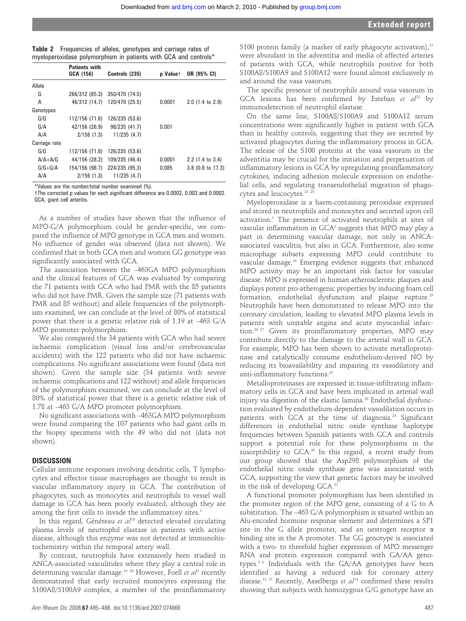| Table 2 | Frequencies of alleles, genotypes and carriage rates of         |  |  |  |  |
|---------|-----------------------------------------------------------------|--|--|--|--|
|         | myeloperoxidase polymorphism in patients with GCA and controls* |  |  |  |  |

|               | <b>Patients with</b> |                |                             |                     |
|---------------|----------------------|----------------|-----------------------------|---------------------|
|               | GCA (156)            | Controls (235) | <b>p</b> Value <sup>+</sup> | OR (95% CI)         |
| Allele        |                      |                |                             |                     |
| G             | 266/312 (85.3)       | 350/470 (74.5) |                             |                     |
| A             | 46/312 (14.7)        | 120/470 (25.5) | 0.0001                      | $2.0$ (1.4 to 2.9)  |
| Genotypes     |                      |                |                             |                     |
| G/G           | 112/156 (71.8)       | 126/235 (53.6) |                             |                     |
| G/A           | 42/156 (26.9)        | 98/235 (41.7)  | 0.001                       |                     |
| A/A           | $2/156$ (1.3)        | 11/235(4.7)    |                             |                     |
| Carriage rate |                      |                |                             |                     |
| G/G           | 112/156 (71.8)       | 126/235 (53.6) |                             |                     |
| $A/A + A/G$   | 44/156 (28.2)        | 109/235 (46.4) | 0.0001                      | $2.2$ (1.4 to 3.4)  |
| $G/G+G/A$     | 154/156 (98.7)       | 224/235 (95.3) | 0.085                       | $3.8$ (0.8 to 17.3) |
| A/A           | 2/156(1.3)           | 11/235(4.7)    |                             |                     |

\*Values are the number/total number examined (%).

{The corrected p values for each significant difference are 0.0002, 0.003 and 0.0002. GCA, giant cell arteritis.

As a number of studies have shown that the influence of MPO-G/A polymorphism could be gender-specific, we compared the influence of MPO genotype in GCA men and women. No influence of gender was observed (data not shown). We confirmed that in both GCA men and women GG genotype was significantly associated with GCA.

The association between the –463GA MPO polymorphism and the clinical features of GCA was evaluated by comparing the 71 patients with GCA who had PMR with the 85 patients who did not have PMR. Given the sample size (71 patients with PMR and 85 without) and allele frequencies of the polymorphism examined, we can conclude at the level of 80% of statistical power that there is a genetic relative risk of 1.19 at –463 G/A MPO promoter polymorphism.

We also compared the 34 patients with GCA who had severe ischaemic complication (visual loss and/or cerebrovascular accidents) with the 122 patients who did not have ischaemic complications. No significant associations were found (data not shown). Given the sample size (34 patients with severe ischaemic complications and 122 without) and allele frequencies of the polymorphism examined, we can conclude at the level of 80% of statistical power that there is a genetic relative risk of 1.78 at –463 G/A MPO promoter polymorphism.

No significant associations with –463GA MPO polymorphism were found comparing the 107 patients who had giant cells in the biopsy specimens with the 49 who did not (data not shown).

#### DISCUSSION

Cellular immune responses involving dendritic cells, T lymphocytes and effector tissue macrophages are thought to result in vascular inflammatory injury in GCA. The contribution of phagocytes, such as monocytes and neutrophils to vessel wall damage in GCA has been poorly evaluated, although they are among the first cells to invade the inflammatory sites.<sup>1</sup>

In this regard, Généreau et  $al^{18}$  detected elevated circulating plasma levels of neutrophil elastase in patients with active disease, although this enzyme was not detected at immunohistochemistry within the temporal artery wall.

By contrast, neutrophils have extensively been studied in ANCA-associated vasculitides where they play a central role in determining vascular damage.<sup>19 20</sup> However, Foell et  $al^2$  recently demonstrated that early recruited monocytes expressing the S100A8/S100A9 complex, a member of the proinflammatory

S100 protein family (a marker of early phagocyte activation), $21$ were abundant in the adventitia and media of affected arteries of patients with GCA, while neutrophils positive for both S100A8/S100A9 and S100A12 were found almost exclusively in and around the vasa vasorum.

The specific presence of neutrophils around vasa vasorum in GCA lesions has been confirmed by Esteban et  $al^{22}$  by immunodetection of neutrophil elastase.

On the same line, S100A8/S100A9 and S100A12 serum concentrations were significantly higher in patient with GCA than in healthy controls, suggesting that they are secreted by activated phagocytes during the inflammatory process in GCA. The release of the S100 proteins at the vasa vasorum in the adventitia may be crucial for the initiation and perpetuation of inflammatory lesions in GCA by upregulating proinflammatory cytokines, inducing adhesion molecule expression on endothelial cells, and regulating transendothelial migration of phagocytes and leucocytes.<sup>21</sup> <sup>23</sup>

Myeloperoxidase is a haem-containing peroxidase expressed and stored in neutrophils and monocytes and secreted upon cell activation.3 The presence of activated neutrophils at sites of vascular inflammation in GCA2 suggests that MPO may play a part in determining vascular damage, not only in ANCAassociated vasculitis, but also in GCA. Furthermore, also some macrophage subsets expressing MPO could contribute to vascular damage.24 Emerging evidence suggests that enhanced MPO activity may be an important risk factor for vascular disease. MPO is expressed in human atherosclerotic plaques and displays potent pro-atherogenic properties by inducing foam cell formation, endothelial dysfunction and plaque rupture.25 Neutrophils have been demonstrated to release MPO into the coronary circulation, leading to elevated MPO plasma levels in patients with unstable angina and acute myocardial infarction.26 27 Given its proinflammatory properties, MPO may contribute directly to the damage to the arterial wall in GCA. For example, MPO has been shown to activate metalloproteinase and catalytically consume endothelium-derived NO by reducing its bioavailability and impairing its vasodilatory and anti-inflammatory functions.<sup>25</sup>

Metalloproteinases are expressed in tissue-infiltrating inflammatory cells in GCA and have been implicated in arterial wall injury via digestion of the elastic lamina.<sup>28</sup> Endothelial dysfunction evaluated by endothelium-dependent vasodilation occurs in patients with GCA at the time of diagnosis.<sup>29</sup> Significant differences in endothelial nitric oxide synthase haplotype frequencies between Spanish patients with GCA and controls support a potential role for these polymorphisms in the susceptibility to GCA.<sup>30</sup> In this regard, a recent study from our group showed that the Asp298 polymorphism of the endothelial nitric oxide synthase gene was associated with GCA, supporting the view that genetic factors may be involved in the risk of developing GCA.<sup>31</sup>

A functional promoter polymorphism has been identified in the promoter region of the MPO gene, consisting of a G to A substitution. The –463 G/A polymorphism is situated within an Alu-encoded hormone response element and determines a SP1 site in the G allele promoter, and an oestrogen receptor  $\alpha$ binding site in the A promoter. The GG genotype is associated with a two- to threefold higher expression of MPO messenger RNA and protein expression compared with GA/AA genotypes.5 6 Individuals with the GA/AA genotypes have been identified as having a reduced risk for coronary artery disease.<sup>12 13</sup> Recently, Asselbergs et  $al^{14}$  confirmed these results showing that subjects with homozygous G/G genotype have an